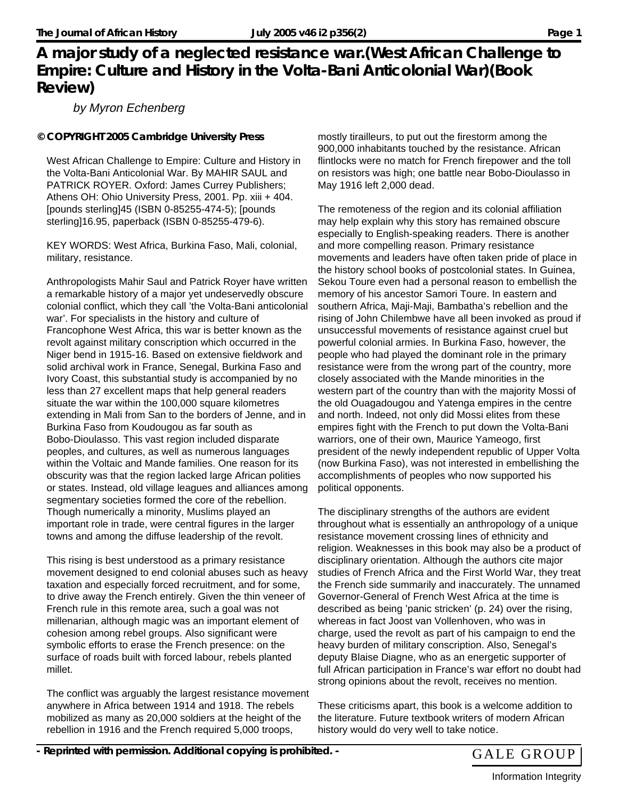## **A major study of a neglected resistance war.(West African Challenge to Empire: Culture and History in the Volta-Bani Anticolonial War)(Book Review)**

by Myron Echenberg

## **© COPYRIGHT 2005 Cambridge University Press**

West African Challenge to Empire: Culture and History in the Volta-Bani Anticolonial War. By MAHIR SAUL and PATRICK ROYER. Oxford: James Currey Publishers; Athens OH: Ohio University Press, 2001. Pp. xiii + 404. [pounds sterling]45 (ISBN 0-85255-474-5); [pounds sterling]16.95, paperback (ISBN 0-85255-479-6).

KEY WORDS: West Africa, Burkina Faso, Mali, colonial, military, resistance.

Anthropologists Mahir Saul and Patrick Royer have written a remarkable history of a major yet undeservedly obscure colonial conflict, which they call 'the Volta-Bani anticolonial war'. For specialists in the history and culture of Francophone West Africa, this war is better known as the revolt against military conscription which occurred in the Niger bend in 1915-16. Based on extensive fieldwork and solid archival work in France, Senegal, Burkina Faso and Ivory Coast, this substantial study is accompanied by no less than 27 excellent maps that help general readers situate the war within the 100,000 square kilometres extending in Mali from San to the borders of Jenne, and in Burkina Faso from Koudougou as far south as Bobo-Dioulasso. This vast region included disparate peoples, and cultures, as well as numerous languages within the Voltaic and Mande families. One reason for its obscurity was that the region lacked large African polities or states. Instead, old village leagues and alliances among segmentary societies formed the core of the rebellion. Though numerically a minority, Muslims played an important role in trade, were central figures in the larger towns and among the diffuse leadership of the revolt.

This rising is best understood as a primary resistance movement designed to end colonial abuses such as heavy taxation and especially forced recruitment, and for some, to drive away the French entirely. Given the thin veneer of French rule in this remote area, such a goal was not millenarian, although magic was an important element of cohesion among rebel groups. Also significant were symbolic efforts to erase the French presence: on the surface of roads built with forced labour, rebels planted millet.

The conflict was arguably the largest resistance movement anywhere in Africa between 1914 and 1918. The rebels mobilized as many as 20,000 soldiers at the height of the rebellion in 1916 and the French required 5,000 troops,

mostly tirailleurs, to put out the firestorm among the 900,000 inhabitants touched by the resistance. African flintlocks were no match for French firepower and the toll on resistors was high; one battle near Bobo-Dioulasso in May 1916 left 2,000 dead.

The remoteness of the region and its colonial affiliation may help explain why this story has remained obscure especially to English-speaking readers. There is another and more compelling reason. Primary resistance movements and leaders have often taken pride of place in the history school books of postcolonial states. In Guinea, Sekou Toure even had a personal reason to embellish the memory of his ancestor Samori Toure. In eastern and southern Africa, Maji-Maji, Bambatha's rebellion and the rising of John Chilembwe have all been invoked as proud if unsuccessful movements of resistance against cruel but powerful colonial armies. In Burkina Faso, however, the people who had played the dominant role in the primary resistance were from the wrong part of the country, more closely associated with the Mande minorities in the western part of the country than with the majority Mossi of the old Ouagadougou and Yatenga empires in the centre and north. Indeed, not only did Mossi elites from these empires fight with the French to put down the Volta-Bani warriors, one of their own, Maurice Yameogo, first president of the newly independent republic of Upper Volta (now Burkina Faso), was not interested in embellishing the accomplishments of peoples who now supported his political opponents.

The disciplinary strengths of the authors are evident throughout what is essentially an anthropology of a unique resistance movement crossing lines of ethnicity and religion. Weaknesses in this book may also be a product of disciplinary orientation. Although the authors cite major studies of French Africa and the First World War, they treat the French side summarily and inaccurately. The unnamed Governor-General of French West Africa at the time is described as being 'panic stricken' (p. 24) over the rising, whereas in fact Joost van Vollenhoven, who was in charge, used the revolt as part of his campaign to end the heavy burden of military conscription. Also, Senegal's deputy Blaise Diagne, who as an energetic supporter of full African participation in France's war effort no doubt had strong opinions about the revolt, receives no mention.

These criticisms apart, this book is a welcome addition to the literature. Future textbook writers of modern African history would do very well to take notice.

*- Reprinted with permission. Additional copying is prohibited. -* GALE GROUP



Information Integrity